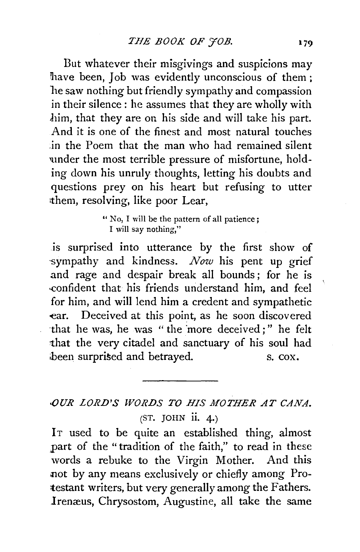But whatever their misgivings and suspicions may have been. Job was evidently unconscious of them : le saw nothing but friendly sympathy and compassion in their silence: he assumes that they are wholly with him, that they are on his side and will take his part. And it is one of the finest and most natural touches .in the Poem that the man who had remained silent under the most terrible pressure of misfortune, holding down his unruly thoughts, letting his doubts and questions prey on his heart but refusing to utter them, resolving, like poor Lear.

> " No, I will be the pattern of all patience; I will say nothing,"

is surprised into utterance by the first show of -sympathy and kindness. *Now* his pent up grief and rage and despair break all bounds; for he is confident that his friends understand him, and feel for him, and will lend him a credent and sympathetic -ear. Deceived at this point, as he soon discovered ·that he was, he was " the ·more deceived;" he felt that the very citadel and sanctuary of his soul had been surprised and betrayed. S. COX.

## *OUR LORD'S WORDS TO HIS MOTHER AT CANA.*  $(ST.$  JOHN ii. 4.)

IT used to be quite an established thing, almost part of the "tradition of the faith," to read in these words a rebuke to the Virgin Mother. And this .not by any means exclusively or chiefly among Protestant writers, but very generally among the Fathers. Irenæus, Chrysostom, Augustine, all take the same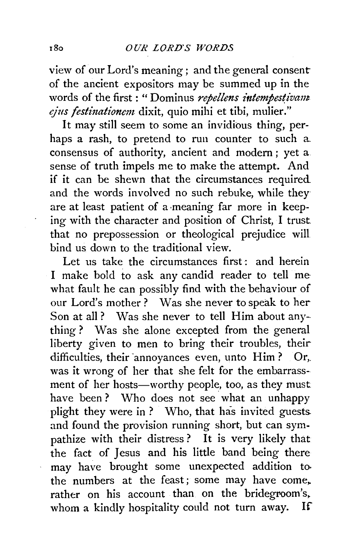view of our Lord's meaning; and the general consent of the ancient expositors may be summed up in the words of the first: "Dominus *repellens intempestivant* ejus festinationem dixit, quio mihi et tibi, mulier."

It may still seem to some an invidious thing, perhaps a rash, to pretend to run counter to such a. consensus of authority, ancient and modern ; yet a sense of truth impels me to make the attempt. And if it can be shewn that the circumstances required and the words involved no such rebuke, while theyare at least patient of a meaning far more in keeping with the character and position of Christ, I trust. that no prepossession or theological prejudice will bind us down to the traditional view.

Let us take the circumstances first: and herein I make bold to ask any candid reader to tell me what fault he can possibly find with the behaviour of our Lord's mother? Was she never to speak to her-Son at all? Was she never to tell Him about anything ? Was she alone excepted from the general liberty given to men to bring their troubles, theirdifficulties, their annoyances even, unto  $\text{Him}$ ? Or, was it wrong of her that she felt for the embarrassment of her hosts-worthy people, too, as they must have been? Who does not see what an unhappy plight they were in ? Who, that has invited guests and found the provision running short, but can sympathize with their distress? It is very likely that the fact of Jesus and his little band being there may have brought some unexpected addition to· the numbers at the feast; some may have come,. rather on his account than on the bridegroom's, whom a kindly hospitality could not turn away. If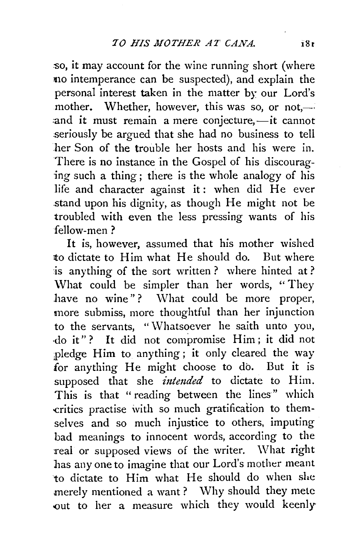:so, it may account for the wine running short (where no intemperance can be suspected), and explain the personal interest taken in the matter by our Lord's mother. Whether, however, this was so, or not.— $\cdot$ and it must remain a mere conjecture,—it cannot seriously be argued that she had no business to tell .her Son of the trouble her hosts and his were in. There is no instance in the Gospel of his discouraging such a thing; there is the whole analogy of his life and character against it: when did He ever .stand upon his dignity, as though He might not be troubled with even the less pressing wants of his fellow-men ?

It is, however, assumed that his mother wished to dictate to Him what He should do. But where is anything of the sort written ? where hinted at? \Vhat could be simpler than her words, '' They have no wine"? What could be more proper, more submiss, more thoughtful than her injunction to the servants, "Whatsoever he saith unto you, ·do it" ? It did not compromise Him ; it did not ;pledge Him to anything; it only cleared the way for anything He might choose to do. But it is supposed that she *intended* to dictate to Him. This is that "reading between the lines" which critics practise with so much gratification to themselves and so much injustice to others, imputing bad meanings to innocent words, according to the real or supposed views of the writer. \Vhat right has any one to imagine that our Lord's mother meant to dictate to Him what He should do when she merely mentioned a want? Why should they mete out to her a measure which they would keenly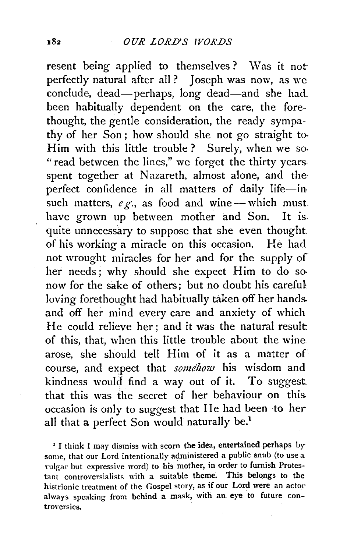resent being applied to themselves? Was it not perfectly natural after all ? Joseph was now, as we conclude, dead-perhaps, long dead-and she had. been habitually dependent on the care, the forethought, the gentle consideration, the ready sympathy of her Son *;* how should she not go straight to. Him with this little trouble? Surely, when we so-"read between the lines," we forget the thirty years. spent together at Nazareth, almost alone, and the perfect confidence in all matters of daily life-insuch matters,  $e \, \mathcal{L}$ , as food and wine-which must. have grown up between mother and Son. It is. quite unnecessary to suppose that she even thought. of his working a miracle on this occasion. He had not wrought miracles for her and for the supply of her needs; why should she expect Him to do sonow for the sake of others; but no doubt his careful loving forethought had habitually taken off her hands. and off her mind every care and anxiety of which He could relieve her ; and it was the natural result. of this, that, when this little trouble about the wine arose, she should tell Him of it as a matter of course, and expect that *somehow* his wisdom and kindness would find a way out of it. To suggest that this was the secret of her behaviour on this. occasion is only to suggest that He had been to her all that a perfect Son would naturally be.<sup>1</sup>

*'* I think I may dismiss with scorn the idea, entertained perhaps by some, that our Lord intentionally administered a public snub (to use a vulgar but expressive word) to his mother, in order to furnish Protestant controversialists with a suitable theme. This belongs to the histrionic treatment of the Gospel story, as if our Lord were an actor always speaking from behind a mask, with an eye to future controversies.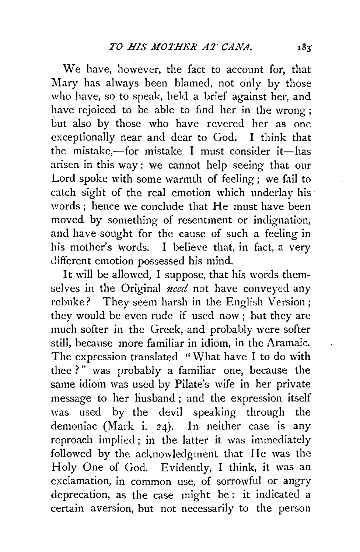We have, however, the fact to account for, that Mary has always been blamed, not only by those who have, so to speak, held a brief against her, and have rejoiced to be able to find her in the wrong: but also by those who have revered her as one exceptionally near and dear to God. I think that the mistake,-for mistake I must consider it-has arisen in this way : we cannot help seeing that our Lord spoke with some warmth of feeling; we fail to catch sight of the real emotion which underlay his words; hence we conclude that He must have been moved by something of resentment or indignation, and have sought for the cause of such a feeling in his mother's words. I believe that, in fact, a very different emotion possessed his mind.

It will be allowed, I suppose, that his words themselves in the Original *need* not have conveyed any rebuke? They seem harsh in the English Version ; they would be even rude if used now; but they are much softer in the Greek, and probably were softer still, because more familiar in idiom, in the Aramaic. The expression translated "What have I to do with thee ?" was probably a familiar one, because the same idiom was used by Pilate's wife in her private message to her husband ; and the expression itself was used by the devil speaking through the demoniac (Mark i. 24). In neither case is any reproach implied ; in the latter it was immediately followed by the acknowledgment that He was the Holy One of God. Evidently, I think, it was an exclamation, in common use, of sorrowful or angry deprecation, as the case might be : it indicated a certain aversion, but not necessarily to the person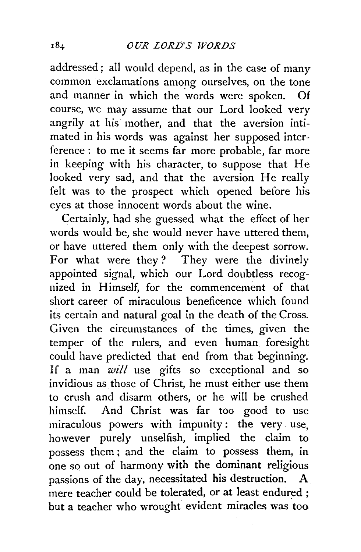addressed; all would depend, as in the case of many common exclamations among ourselves, on the tone and manner in which the words were spoken. Of course, we may assume that our Lord looked very angrily at his· mother, and that the aversion intimated in his words was against her supposed interference : to me it seems far more probable, far more in keeping with his character, to suppose that He looked very sad, and that the aversion He really felt was to the prospect which opened before his eyes at those innocent words about the wine.

Certainly, had she guessed what the effect of her words would be, she would never have uttered them, or have uttered them only with the deepest sorrow. For what were they? They were the divinely appointed signal, which our Lord doubtless recognized in Himself, for the commencement of that short career of miraculous beneficence which found its certain and natural goal in the death of the Cross. Given the circumstances of the times, given the temper of the rulers, and even human foresight could have predicted that end from that beginning. If a man *will* use gifts so exceptional and so invidious as those of Christ, he must either use them to crush and disarm others, or he will be crushed himself. And Christ was far too good to use miraculous powers with impunity: the very use, however purely unselfish, implied the claim to possess them ; and the claim to possess them, in one so out of harmony with the dominant religious passions of the day, necessitated his destruction. A mere teacher could be tolerated, or at least endured : but a teacher who wrought evident miracles was too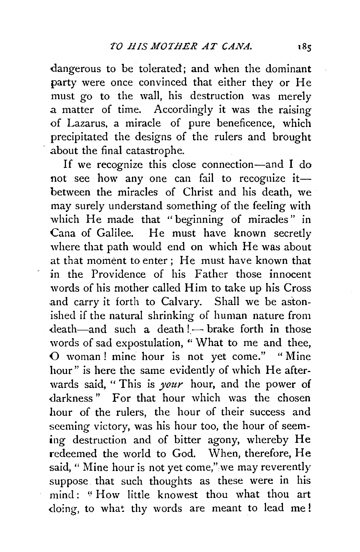dangerous to be tolerated; and when the dominant party were once convinced that either they or He must go to the wall, his destruction was merely a matter of time. Accordingly it was the raising of Lazarus, a miracle of pure beneficence, which precipitated the designs of the rulers and brought about the final catastrophe.

If we recognize this close connection-and I do not see how any one can fail to recognize itbetween the miracles of Christ and his death, we may surely understand something of the feeling with which He made that "beginning of miracles" in Cana of Galilee. He must have known secretly where that path would end on which He was about at that moment to enter; He must have known that in the Providence of his Father those innocent words of his mother called Him to take up his Cross and carry it forth to Calvary. Shall we be astonished if the natural shrinking of human nature from  $death$ —and such a death ! — brake forth in those words of sad expostulation, " What to me and thee, 0 woman ! mine hour is not yet come." " Mine hour" is here the same evidently of which He afterwards said, " This is *your* hour, and the power of darkness" For that hour which was the chosen hour of the rulers, the hour of their success and seeming victory, was his hour too, the hour of seeming destruction and of bitter agony, whereby He redeemed the world to God. When, therefore, He said, " Mine hour is not yet come," we may reverently suppose that such thoughts as these were in his mind: "How little knowest thou what thou art doing, to what thy words are meant to lead me!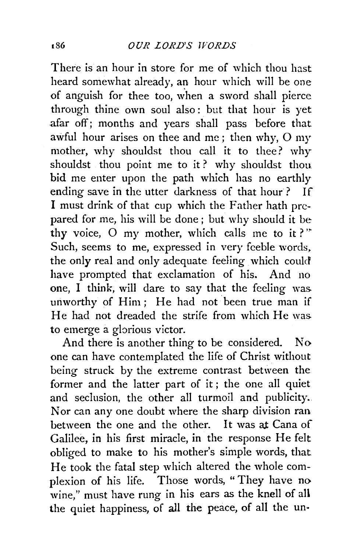There is an hour in store for me of which thou hast heard somewhat already, an hour which will be one of anguish for thee too, when a sword shall pierce through thine own soul also: but that hour is yet afar off; months and years shall pass before that awful hour arises on thee and me; then why, 0 my mother, why shouldst thou call it to thee? why shouldst thou point me to it ? why shouldst thou bid me enter upon the path which has no earthly ending save in the utter darkness of that hour? If I must drink of that cup which the Father hath prepared for me, his will be done; but why should it be thy voice, O my mother, which calls me to it?" Such, seems to me, expressed in very feeble words. the only real and only adequate feeling which could have prompted that exclamation of his. And no one, I think, will dare to say that the feeling was. unworthy of Him; He had not been true man if He had not dreaded the strife from which He was. to emerge a glorious victor.

And there is another thing to be considered. No one can have contemplated the life of Christ without being struck by the extreme contrast between the former and the latter part of it ; the one all quiet and seclusion, the other all turmoil and publicity. Nor can any one doubt where the sharp division ran between the one and the other. It was at Cana of Galilee, in his first miracle, in the response He felt obliged to make to his mother's simple words, that He took the fatal step which altered the whole complexion of his life. Those words, " They have no wine," must have rung in his ears as the knell of all the quiet happiness, of all the peace, of all the un-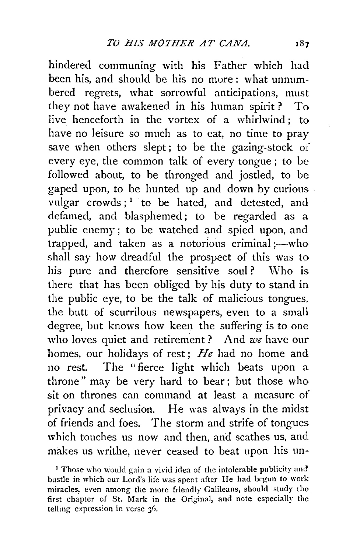hindered communing with his Father which had been his, and should be his no more : what unnumbered regrets, what sorrowful anticipations, must they not have awakened in his human spirit? To live henceforth in the vortex of a whirlwind; to have no leisure so much as to cat, no time to pray save when others slept; to be the gazing-stock of every eye, the common talk of every tongue; to be followed about, to be thronged and jostled, to be gaped upon, to be hunted up and down by curious vulgar  $c$ rowds:<sup>1</sup> to be hated, and detested, and defamed, and blasphemed; to be regarded as a public enemy ; to be watched and spied upon, and trapped, and taken as a notorious criminal ;- who shall say how dreadful the prospect of this was to his pure and therefore sensitive soul? Who is there that has been obliged by his duty to stand in the public eye, to be the talk of malicious tongues, the butt of scurrilous newspapers, even to a small degree, but knows how keen the suffering is to one who loves quiet and retirement? And *we* have our homes, our holidays of rest ; *He* had no home and no rest. The "fierce light which beats upon a throne" may be very hard to bear; but those who sit on thrones can command at least a measure of privacy and seclusion. He was always in the midst of friends and foes. The storm and strife of tongues which touches us now and then, and scathes us, and makes us writhe, never ceased to beat upon his un-

<sup>1</sup> Those who would gain a vivid idea of the intolerable publicity and bustle in which our Lord's life was spent after He had begun to work miracles, even among the more friendly Galileans, should study the first chapter of St. Mark in the Original, and note especially the telling expression in verse 36.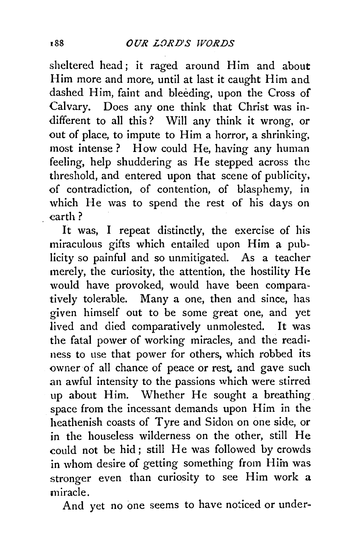sheltered head; it raged around Him and about Him more and more, until at last it caught Him and dashed Him, faint and bleeding, upon the Cross of Calvary. Does any one think that Christ was indifferent to all this? Will any think it wrong, or out of place, to impute to Him a horror, a shrinking, most intense ? How could He, having any human feeling, help shuddering as He stepped across the threshold, and entered upon that scene of publicity, of contradiction, of contention, of blasphemy, in which He was to spend the rest of his days on earth?

It was, I repeat distinctly, the exercise of his miraculous gifts which entailed upon Him a publicity so painful and so unmitigated. As a teacher merely, the curiosity, the attention, the hostility He would have provoked, would have been comparatively tolerable. Many a one, then and since, has given himself out to be some great one, and yet lived and died comparatively unmolested. It was the fatal power of working miracles, and the readiness to use that power for others, which robbed its owner of all chance of peace or rest, and gave such an awful intensity to the passions which were stirred up about Him. Whether He sought a breathing space from the incessant demands upon Him in the heathenish coasts of Tyre and Sidon on one side, or in the houseless wilderness on the other, still He could not be hid; still He was followed by crowds in whom desire of getting something from Him was stronger even than curiosity to see Him work a miracle.

And yet no one seems to have noticed or under-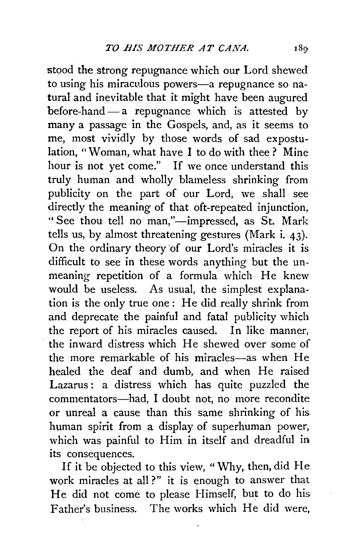stood the strong repugnance which our Lord shewed to using his miraculous powers-a repugnance so natural and inevitable that it might have been augured before-hand  $-$  a repugnance which is attested by many a passage in the Gospels, and, as it seems to me, most vividly by those words of sad expostulation, "Woman, what have I to do with thee ? Mine hour is not yet come." If we once understand this truly human and wholly blameless shrinking from publicity on the part of our Lord, we shall see directly the meaning of that oft-repeated injunction, " See thou tell no man,"-impressed, as St. Mark tells us, by almost threatening gestures (Mark i.  $43$ ). On the ordinary theory of our Lord's miracles it is difficult to see in these words anything but the unmeaning repetition of a formula which He knew would be useless. As usual, the simplest explanation is the only true one: He did really shrink from and deprecate the painful and fatal publicity which the report of his miracles caused. In like manner, the inward distress which He shewed over some of the more remarkable of his miracles-as when He healed the deaf and dumb, and when He raised Lazarus: a distress which has quite puzzled the commentators-had, I doubt not, no more recondite or unreal a cause than this same shrinking of his human spirit from a display of superhuman power, which was painful to Him in itself and dreadful in its consequences.

If it be objected to this view, "Why, then, did He work miracles at all?" it is enough to answer that He did not come to please Himself, but to do his Father's business. The works which He did were,